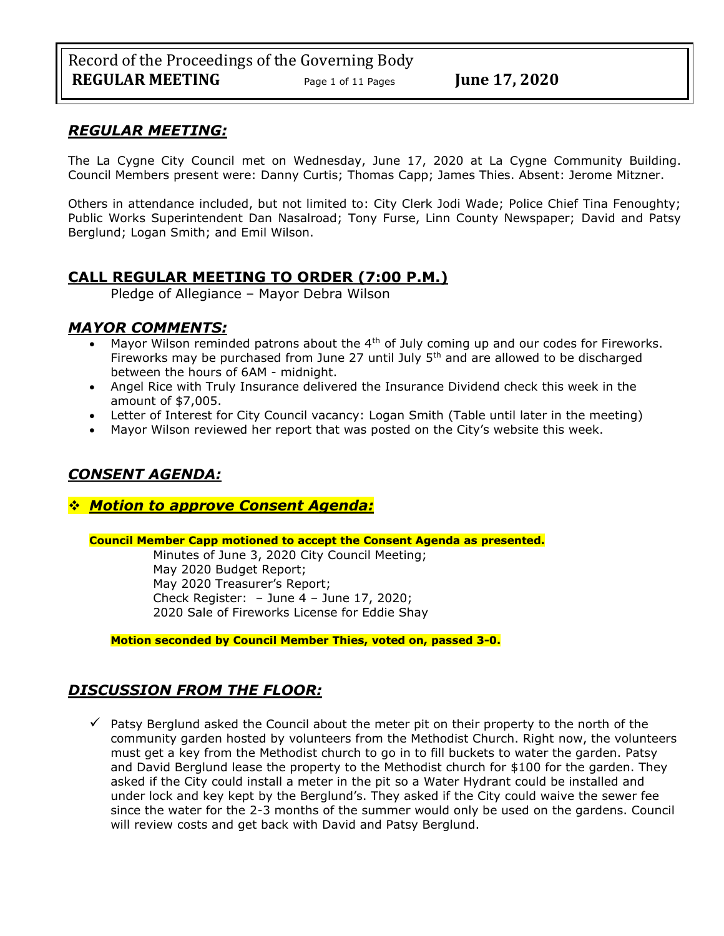## *REGULAR MEETING:*

The La Cygne City Council met on Wednesday, June 17, 2020 at La Cygne Community Building. Council Members present were: Danny Curtis; Thomas Capp; James Thies. Absent: Jerome Mitzner.

Others in attendance included, but not limited to: City Clerk Jodi Wade; Police Chief Tina Fenoughty; Public Works Superintendent Dan Nasalroad; Tony Furse, Linn County Newspaper; David and Patsy Berglund; Logan Smith; and Emil Wilson.

# **CALL REGULAR MEETING TO ORDER (7:00 P.M.)**

Pledge of Allegiance – Mayor Debra Wilson

# *MAYOR COMMENTS:*

- Mayor Wilson reminded patrons about the  $4<sup>th</sup>$  of July coming up and our codes for Fireworks. Fireworks may be purchased from June 27 until July  $5<sup>th</sup>$  and are allowed to be discharged between the hours of 6AM - midnight.
- Angel Rice with Truly Insurance delivered the Insurance Dividend check this week in the amount of \$7,005.
- Letter of Interest for City Council vacancy: Logan Smith (Table until later in the meeting)
- Mayor Wilson reviewed her report that was posted on the City's website this week.

# *CONSENT AGENDA:*

## ❖ *Motion to approve Consent Agenda:*

## **Council Member Capp motioned to accept the Consent Agenda as presented.**

Minutes of June 3, 2020 City Council Meeting; May 2020 Budget Report; May 2020 Treasurer's Report; Check Register: – June 4 – June 17, 2020; 2020 Sale of Fireworks License for Eddie Shay

**Motion seconded by Council Member Thies, voted on, passed 3-0.** 

# *DISCUSSION FROM THE FLOOR:*

 $\checkmark$  Patsy Berglund asked the Council about the meter pit on their property to the north of the community garden hosted by volunteers from the Methodist Church. Right now, the volunteers must get a key from the Methodist church to go in to fill buckets to water the garden. Patsy and David Berglund lease the property to the Methodist church for \$100 for the garden. They asked if the City could install a meter in the pit so a Water Hydrant could be installed and under lock and key kept by the Berglund's. They asked if the City could waive the sewer fee since the water for the 2-3 months of the summer would only be used on the gardens. Council will review costs and get back with David and Patsy Berglund.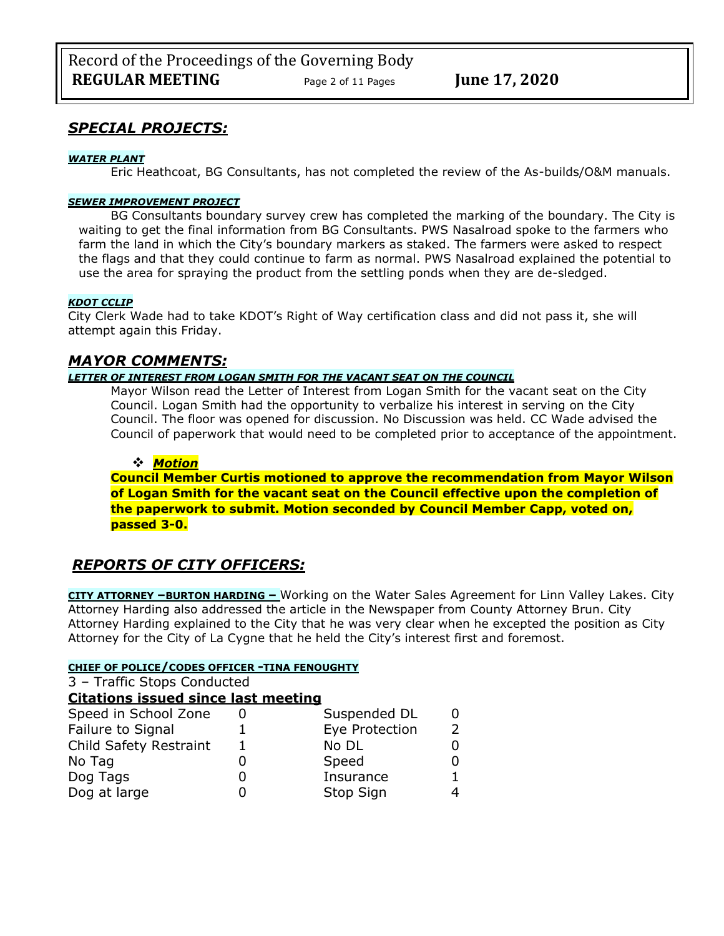# *SPECIAL PROJECTS:*

## *WATER PLANT*

Eric Heathcoat, BG Consultants, has not completed the review of the As-builds/O&M manuals.

## *SEWER IMPROVEMENT PROJECT*

BG Consultants boundary survey crew has completed the marking of the boundary. The City is waiting to get the final information from BG Consultants. PWS Nasalroad spoke to the farmers who farm the land in which the City's boundary markers as staked. The farmers were asked to respect the flags and that they could continue to farm as normal. PWS Nasalroad explained the potential to use the area for spraying the product from the settling ponds when they are de-sledged.

## *KDOT CCLIP*

City Clerk Wade had to take KDOT's Right of Way certification class and did not pass it, she will attempt again this Friday.

## *MAYOR COMMENTS:*

## *LETTER OF INTEREST FROM LOGAN SMITH FOR THE VACANT SEAT ON THE COUNCIL*

Mayor Wilson read the Letter of Interest from Logan Smith for the vacant seat on the City Council. Logan Smith had the opportunity to verbalize his interest in serving on the City Council. The floor was opened for discussion. No Discussion was held. CC Wade advised the Council of paperwork that would need to be completed prior to acceptance of the appointment.

## ❖ *Motion*

**Council Member Curtis motioned to approve the recommendation from Mayor Wilson of Logan Smith for the vacant seat on the Council effective upon the completion of the paperwork to submit. Motion seconded by Council Member Capp, voted on, passed 3-0.** 

# *REPORTS OF CITY OFFICERS:*

**CITY ATTORNEY –BURTON HARDING –** Working on the Water Sales Agreement for Linn Valley Lakes. City Attorney Harding also addressed the article in the Newspaper from County Attorney Brun. City Attorney Harding explained to the City that he was very clear when he excepted the position as City Attorney for the City of La Cygne that he held the City's interest first and foremost.

## **CHIEF OF POLICE/CODES OFFICER -TINA FENOUGHTY**

3 – Traffic Stops Conducted

## **Citations issued since last meeting**

| Speed in School Zone   | Suspended DL   | 0 |
|------------------------|----------------|---|
| Failure to Signal      | Eye Protection |   |
| Child Safety Restraint | No DL          |   |
| No Tag                 | Speed          |   |
| Dog Tags               | Insurance      |   |
| Dog at large           | Stop Sign      |   |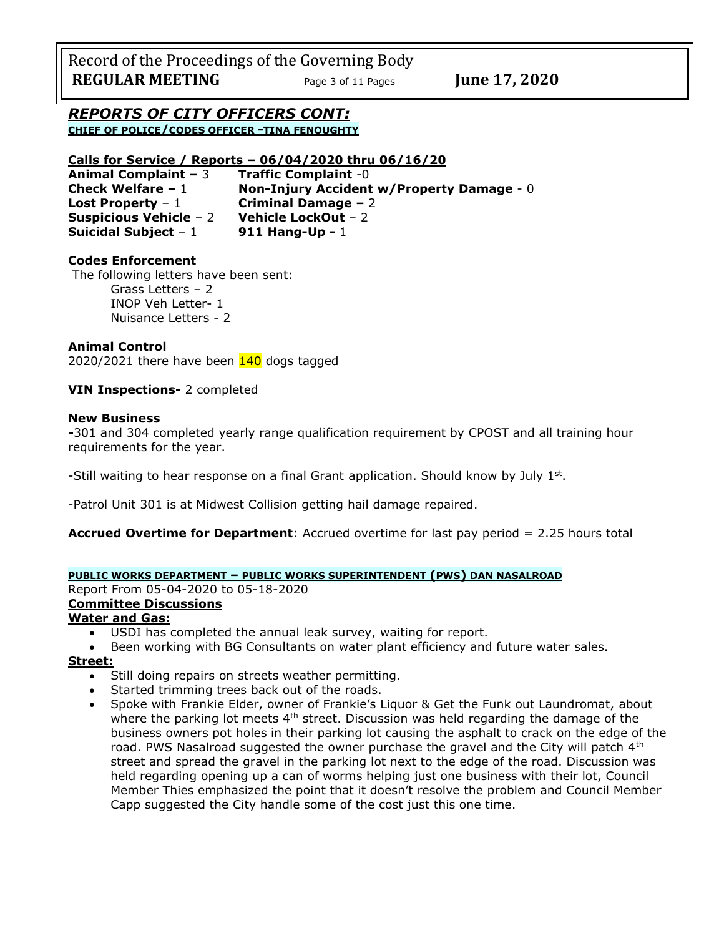Record of the Proceedings of the Governing Body **REGULAR MEETING** Page 3 of 11 Pages **June 17, 2020** 

*REPORTS OF CITY OFFICERS CONT:* **CHIEF OF POLICE/CODES OFFICER -TINA FENOUGHTY**

## **Calls for Service / Reports – 06/04/2020 thru 06/16/20**

**Animal Complaint –** 3 **Traffic Complaint** -0 **Check Welfare –** 1 **Non-Injury Accident w/Property Damage** - 0 **Lost Property** – 1 **Criminal Damage –** 2 **Suspicious Vehicle** – 2 **Vehicle LockOut** – 2 **Suicidal Subject** – 1 **911 Hang-Up -** 1

## **Codes Enforcement**

The following letters have been sent: Grass Letters – 2 INOP Veh Letter- 1 Nuisance Letters - 2

## **Animal Control**

2020/2021 there have been 140 dogs tagged

## **VIN Inspections-** 2 completed

## **New Business**

**-**301 and 304 completed yearly range qualification requirement by CPOST and all training hour requirements for the year.

-Still waiting to hear response on a final Grant application. Should know by July  $1^{st}$ .

-Patrol Unit 301 is at Midwest Collision getting hail damage repaired.

**Accrued Overtime for Department**: Accrued overtime for last pay period = 2.25 hours total

## **PUBLIC WORKS DEPARTMENT – PUBLIC WORKS SUPERINTENDENT (PWS) DAN NASALROAD**

Report From 05-04-2020 to 05-18-2020

## **Committee Discussions**

## **Water and Gas:**

- USDI has completed the annual leak survey, waiting for report.
- Been working with BG Consultants on water plant efficiency and future water sales.

#### **Street:**

- Still doing repairs on streets weather permitting.
- Started trimming trees back out of the roads.
- Spoke with Frankie Elder, owner of Frankie's Liquor & Get the Funk out Laundromat, about where the parking lot meets  $4<sup>th</sup>$  street. Discussion was held regarding the damage of the business owners pot holes in their parking lot causing the asphalt to crack on the edge of the road. PWS Nasalroad suggested the owner purchase the gravel and the City will patch 4<sup>th</sup> street and spread the gravel in the parking lot next to the edge of the road. Discussion was held regarding opening up a can of worms helping just one business with their lot, Council Member Thies emphasized the point that it doesn't resolve the problem and Council Member Capp suggested the City handle some of the cost just this one time.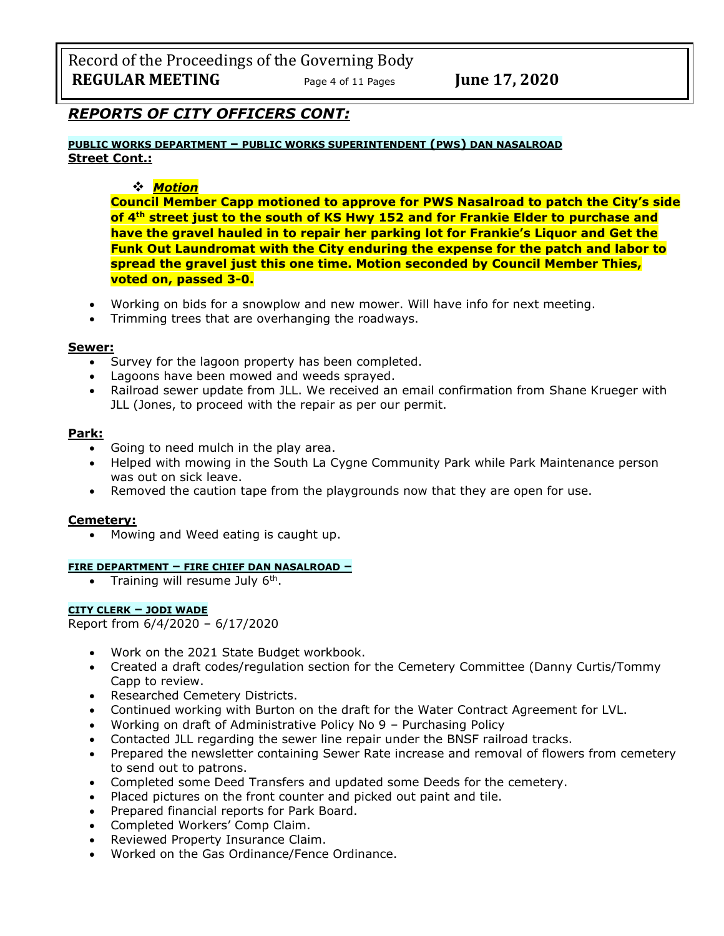Record of the Proceedings of the Governing Body **REGULAR MEETING** Page <sup>4</sup> of 11 Pages **June 17, 2020**

# *REPORTS OF CITY OFFICERS CONT:*

**PUBLIC WORKS DEPARTMENT – PUBLIC WORKS SUPERINTENDENT (PWS) DAN NASALROAD Street Cont.:**

## ❖ *Motion*

**Council Member Capp motioned to approve for PWS Nasalroad to patch the City's side of 4th street just to the south of KS Hwy 152 and for Frankie Elder to purchase and have the gravel hauled in to repair her parking lot for Frankie's Liquor and Get the Funk Out Laundromat with the City enduring the expense for the patch and labor to spread the gravel just this one time. Motion seconded by Council Member Thies, voted on, passed 3-0.** 

- Working on bids for a snowplow and new mower. Will have info for next meeting.
- Trimming trees that are overhanging the roadways.

#### **Sewer:**

- Survey for the lagoon property has been completed.
- Lagoons have been mowed and weeds sprayed.
- Railroad sewer update from JLL. We received an email confirmation from Shane Krueger with JLL (Jones, to proceed with the repair as per our permit.

#### **Park:**

- Going to need mulch in the play area.
- Helped with mowing in the South La Cygne Community Park while Park Maintenance person was out on sick leave.
- Removed the caution tape from the playgrounds now that they are open for use.

## **Cemetery:**

• Mowing and Weed eating is caught up.

#### **FIRE DEPARTMENT – FIRE CHIEF DAN NASALROAD –**

• Training will resume July  $6<sup>th</sup>$ .

#### **CITY CLERK – JODI WADE**

Report from 6/4/2020 – 6/17/2020

- Work on the 2021 State Budget workbook.
- Created a draft codes/regulation section for the Cemetery Committee (Danny Curtis/Tommy Capp to review.
- Researched Cemetery Districts.
- Continued working with Burton on the draft for the Water Contract Agreement for LVL.
- Working on draft of Administrative Policy No 9 Purchasing Policy
- Contacted JLL regarding the sewer line repair under the BNSF railroad tracks.
- Prepared the newsletter containing Sewer Rate increase and removal of flowers from cemetery to send out to patrons.
- Completed some Deed Transfers and updated some Deeds for the cemetery.
- Placed pictures on the front counter and picked out paint and tile.
- Prepared financial reports for Park Board.
- Completed Workers' Comp Claim.
- Reviewed Property Insurance Claim.
- Worked on the Gas Ordinance/Fence Ordinance.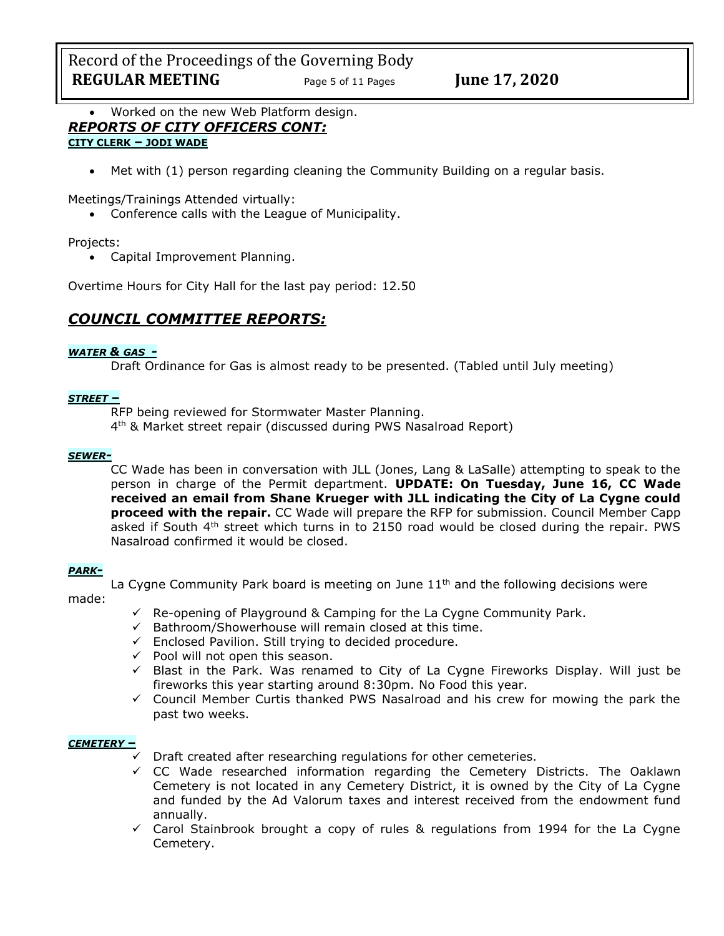Record of the Proceedings of the Governing Body **REGULAR MEETING** Page 5 of 11 Pages **June 17, 2020** 

• Worked on the new Web Platform design. *REPORTS OF CITY OFFICERS CONT:* **CITY CLERK – JODI WADE**

• Met with (1) person regarding cleaning the Community Building on a regular basis.

Meetings/Trainings Attended virtually:

• Conference calls with the League of Municipality.

## Projects:

• Capital Improvement Planning.

Overtime Hours for City Hall for the last pay period: 12.50

# *COUNCIL COMMITTEE REPORTS:*

#### *WATER & GAS -*

Draft Ordinance for Gas is almost ready to be presented. (Tabled until July meeting)

#### *STREET –*

RFP being reviewed for Stormwater Master Planning.

4 th & Market street repair (discussed during PWS Nasalroad Report)

## *SEWER-*

CC Wade has been in conversation with JLL (Jones, Lang & LaSalle) attempting to speak to the person in charge of the Permit department. **UPDATE: On Tuesday, June 16, CC Wade received an email from Shane Krueger with JLL indicating the City of La Cygne could proceed with the repair.** CC Wade will prepare the RFP for submission. Council Member Capp asked if South  $4<sup>th</sup>$  street which turns in to 2150 road would be closed during the repair. PWS Nasalroad confirmed it would be closed.

#### *PARK-*

La Cygne Community Park board is meeting on June  $11<sup>th</sup>$  and the following decisions were

#### made:

- $\checkmark$  Re-opening of Playground & Camping for the La Cygne Community Park.
- $\checkmark$  Bathroom/Showerhouse will remain closed at this time.
- ✓ Enclosed Pavilion. Still trying to decided procedure.
- $\checkmark$  Pool will not open this season.
- $\checkmark$  Blast in the Park. Was renamed to City of La Cygne Fireworks Display. Will just be fireworks this year starting around 8:30pm. No Food this year.
- $\checkmark$  Council Member Curtis thanked PWS Nasalroad and his crew for mowing the park the past two weeks.

#### *CEMETERY –*

Draft created after researching regulations for other cemeteries.

- ✓ CC Wade researched information regarding the Cemetery Districts. The Oaklawn Cemetery is not located in any Cemetery District, it is owned by the City of La Cygne and funded by the Ad Valorum taxes and interest received from the endowment fund annually.
- ✓ Carol Stainbrook brought a copy of rules & regulations from 1994 for the La Cygne Cemetery.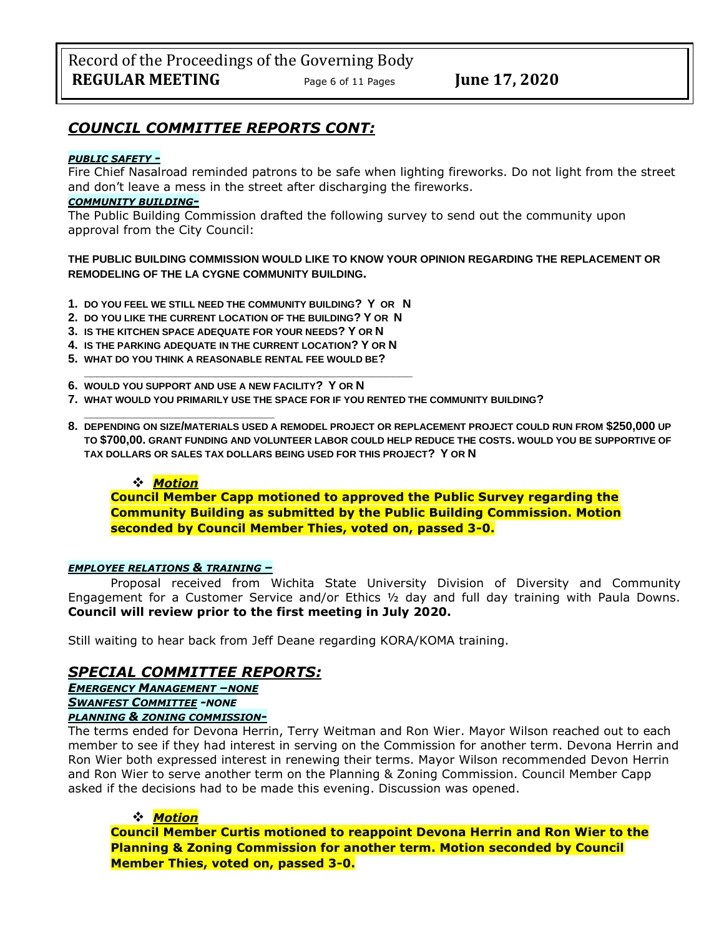# *COUNCIL COMMITTEE REPORTS CONT:*

#### *PUBLIC SAFETY -*

Fire Chief Nasalroad reminded patrons to be safe when lighting fireworks. Do not light from the street and don't leave a mess in the street after discharging the fireworks.

#### *COMMUNITY BUILDING-*

The Public Building Commission drafted the following survey to send out the community upon approval from the City Council:

**THE PUBLIC BUILDING COMMISSION WOULD LIKE TO KNOW YOUR OPINION REGARDING THE REPLACEMENT OR REMODELING OF THE LA CYGNE COMMUNITY BUILDING.**

- **1. DO YOU FEEL WE STILL NEED THE COMMUNITY BUILDING? Y OR N**
- **2. DO YOU LIKE THE CURRENT LOCATION OF THE BUILDING? Y OR N**
- **3. IS THE KITCHEN SPACE ADEQUATE FOR YOUR NEEDS? Y OR N**
- **4. IS THE PARKING ADEQUATE IN THE CURRENT LOCATION? Y OR N**

**\_\_\_\_\_\_\_\_\_\_\_\_\_\_\_\_\_\_\_\_\_\_\_\_\_\_\_\_\_\_\_\_\_\_\_\_\_\_\_\_\_\_\_\_\_\_\_\_\_\_**

- **5. WHAT DO YOU THINK A REASONABLE RENTAL FEE WOULD BE?**
- **6. WOULD YOU SUPPORT AND USE A NEW FACILITY? Y OR N**
- **7. WHAT WOULD YOU PRIMARILY USE THE SPACE FOR IF YOU RENTED THE COMMUNITY BUILDING?**
- **8. DEPENDING ON SIZE/MATERIALS USED A REMODEL PROJECT OR REPLACEMENT PROJECT COULD RUN FROM \$250,000 UP TO \$700,00. GRANT FUNDING AND VOLUNTEER LABOR COULD HELP REDUCE THE COSTS. WOULD YOU BE SUPPORTIVE OF TAX DOLLARS OR SALES TAX DOLLARS BEING USED FOR THIS PROJECT? Y OR N**

## ❖ *Motion*

**\_\_\_\_\_\_\_\_\_\_\_\_\_\_\_\_\_\_\_\_\_\_\_\_\_\_\_\_\_**

**Council Member Capp motioned to approved the Public Survey regarding the Community Building as submitted by the Public Building Commission. Motion seconded by Council Member Thies, voted on, passed 3-0.** 

#### *EMPLOYEE RELATIONS & TRAINING –*

Proposal received from Wichita State University Division of Diversity and Community Engagement for a Customer Service and/or Ethics ½ day and full day training with Paula Downs. **Council will review prior to the first meeting in July 2020.**

Still waiting to hear back from Jeff Deane regarding KORA/KOMA training.

# *SPECIAL COMMITTEE REPORTS:*

*EMERGENCY MANAGEMENT –NONE SWANFEST COMMITTEE -NONE*

## *PLANNING & ZONING COMMISSION-*

The terms ended for Devona Herrin, Terry Weitman and Ron Wier. Mayor Wilson reached out to each member to see if they had interest in serving on the Commission for another term. Devona Herrin and Ron Wier both expressed interest in renewing their terms. Mayor Wilson recommended Devon Herrin and Ron Wier to serve another term on the Planning & Zoning Commission. Council Member Capp asked if the decisions had to be made this evening. Discussion was opened.

## ❖ *Motion*

**Council Member Curtis motioned to reappoint Devona Herrin and Ron Wier to the Planning & Zoning Commission for another term. Motion seconded by Council Member Thies, voted on, passed 3-0.**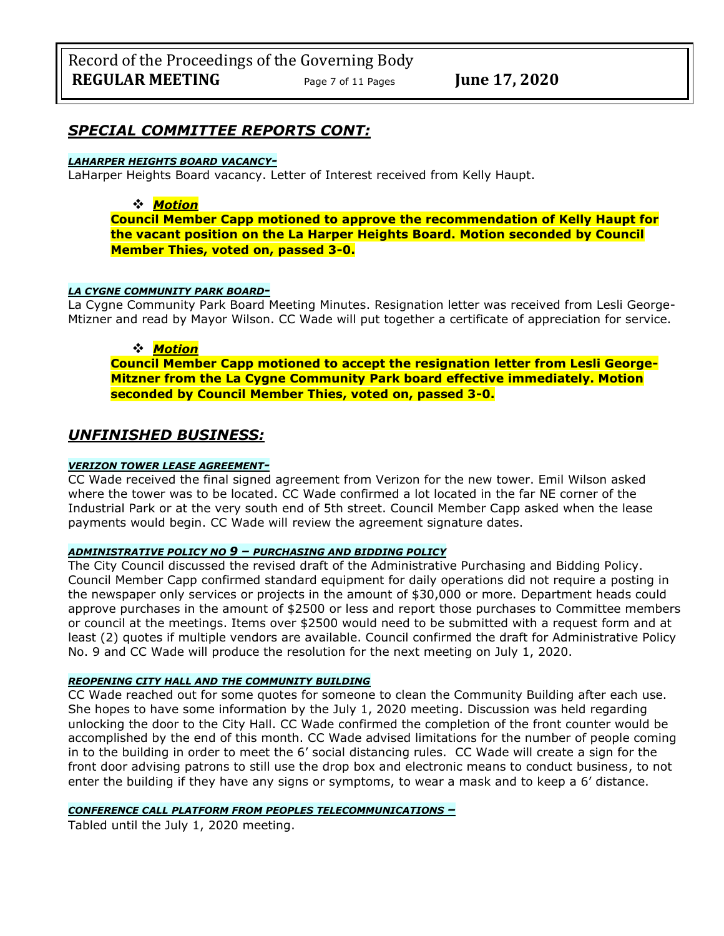## *SPECIAL COMMITTEE REPORTS CONT:*

#### *LAHARPER HEIGHTS BOARD VACANCY-*

LaHarper Heights Board vacancy. Letter of Interest received from Kelly Haupt.

## ❖ *Motion*

**Council Member Capp motioned to approve the recommendation of Kelly Haupt for the vacant position on the La Harper Heights Board. Motion seconded by Council Member Thies, voted on, passed 3-0.** 

#### *LA CYGNE COMMUNITY PARK BOARD-*

La Cygne Community Park Board Meeting Minutes. Resignation letter was received from Lesli George-Mtizner and read by Mayor Wilson. CC Wade will put together a certificate of appreciation for service.

#### ❖ *Motion*

**Council Member Capp motioned to accept the resignation letter from Lesli George-Mitzner from the La Cygne Community Park board effective immediately. Motion seconded by Council Member Thies, voted on, passed 3-0.** 

## *UNFINISHED BUSINESS:*

#### *VERIZON TOWER LEASE AGREEMENT-*

CC Wade received the final signed agreement from Verizon for the new tower. Emil Wilson asked where the tower was to be located. CC Wade confirmed a lot located in the far NE corner of the Industrial Park or at the very south end of 5th street. Council Member Capp asked when the lease payments would begin. CC Wade will review the agreement signature dates.

#### *ADMINISTRATIVE POLICY NO 9 – PURCHASING AND BIDDING POLICY*

The City Council discussed the revised draft of the Administrative Purchasing and Bidding Policy. Council Member Capp confirmed standard equipment for daily operations did not require a posting in the newspaper only services or projects in the amount of \$30,000 or more. Department heads could approve purchases in the amount of \$2500 or less and report those purchases to Committee members or council at the meetings. Items over \$2500 would need to be submitted with a request form and at least (2) quotes if multiple vendors are available. Council confirmed the draft for Administrative Policy No. 9 and CC Wade will produce the resolution for the next meeting on July 1, 2020.

#### *REOPENING CITY HALL AND THE COMMUNITY BUILDING*

CC Wade reached out for some quotes for someone to clean the Community Building after each use. She hopes to have some information by the July 1, 2020 meeting. Discussion was held regarding unlocking the door to the City Hall. CC Wade confirmed the completion of the front counter would be accomplished by the end of this month. CC Wade advised limitations for the number of people coming in to the building in order to meet the 6' social distancing rules. CC Wade will create a sign for the front door advising patrons to still use the drop box and electronic means to conduct business, to not enter the building if they have any signs or symptoms, to wear a mask and to keep a 6' distance.

#### *CONFERENCE CALL PLATFORM FROM PEOPLES TELECOMMUNICATIONS –*

Tabled until the July 1, 2020 meeting.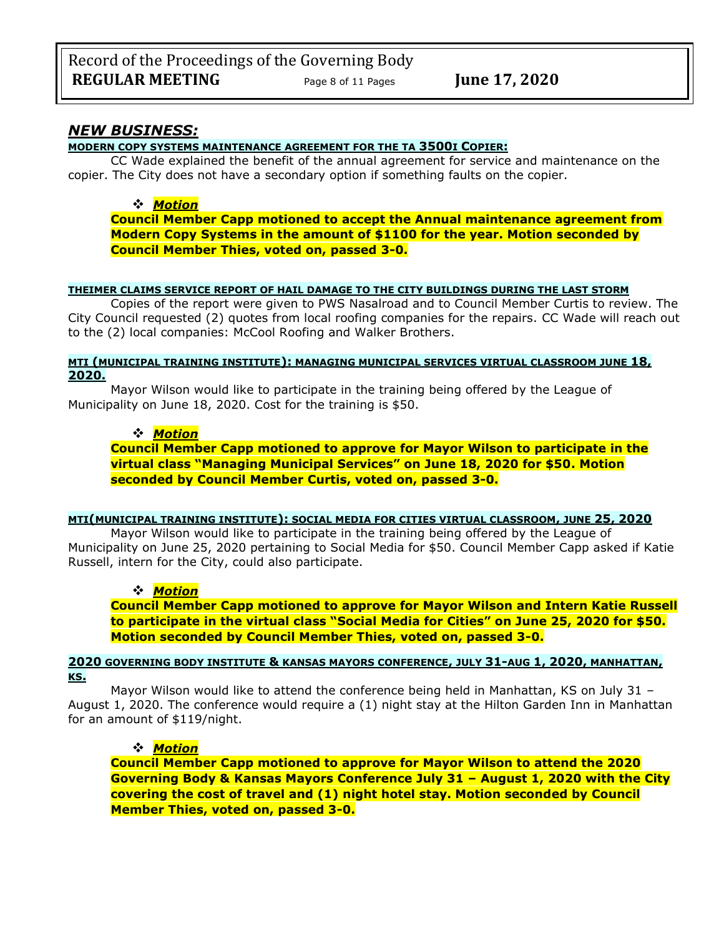## *NEW BUSINESS:*

## **MODERN COPY SYSTEMS MAINTENANCE AGREEMENT FOR THE TA 3500I COPIER:**

CC Wade explained the benefit of the annual agreement for service and maintenance on the copier. The City does not have a secondary option if something faults on the copier.

## ❖ *Motion*

**Council Member Capp motioned to accept the Annual maintenance agreement from Modern Copy Systems in the amount of \$1100 for the year. Motion seconded by Council Member Thies, voted on, passed 3-0.** 

## **THEIMER CLAIMS SERVICE REPORT OF HAIL DAMAGE TO THE CITY BUILDINGS DURING THE LAST STORM**

Copies of the report were given to PWS Nasalroad and to Council Member Curtis to review. The City Council requested (2) quotes from local roofing companies for the repairs. CC Wade will reach out to the (2) local companies: McCool Roofing and Walker Brothers.

#### **MTI (MUNICIPAL TRAINING INSTITUTE): MANAGING MUNICIPAL SERVICES VIRTUAL CLASSROOM JUNE 18, 2020.**

Mayor Wilson would like to participate in the training being offered by the League of Municipality on June 18, 2020. Cost for the training is \$50.

## ❖ *Motion*

**Council Member Capp motioned to approve for Mayor Wilson to participate in the virtual class "Managing Municipal Services" on June 18, 2020 for \$50. Motion seconded by Council Member Curtis, voted on, passed 3-0.** 

#### **MTI(MUNICIPAL TRAINING INSTITUTE): SOCIAL MEDIA FOR CITIES VIRTUAL CLASSROOM, JUNE 25, 2020**

Mayor Wilson would like to participate in the training being offered by the League of Municipality on June 25, 2020 pertaining to Social Media for \$50. Council Member Capp asked if Katie Russell, intern for the City, could also participate.

## ❖ *Motion*

**Council Member Capp motioned to approve for Mayor Wilson and Intern Katie Russell to participate in the virtual class "Social Media for Cities" on June 25, 2020 for \$50. Motion seconded by Council Member Thies, voted on, passed 3-0.** 

#### **2020 GOVERNING BODY INSTITUTE & KANSAS MAYORS CONFERENCE, JULY 31-AUG 1, 2020, MANHATTAN, KS.**

Mayor Wilson would like to attend the conference being held in Manhattan, KS on July 31 -August 1, 2020. The conference would require a (1) night stay at the Hilton Garden Inn in Manhattan for an amount of \$119/night.

## ❖ *Motion*

**Council Member Capp motioned to approve for Mayor Wilson to attend the 2020 Governing Body & Kansas Mayors Conference July 31 – August 1, 2020 with the City covering the cost of travel and (1) night hotel stay. Motion seconded by Council Member Thies, voted on, passed 3-0.**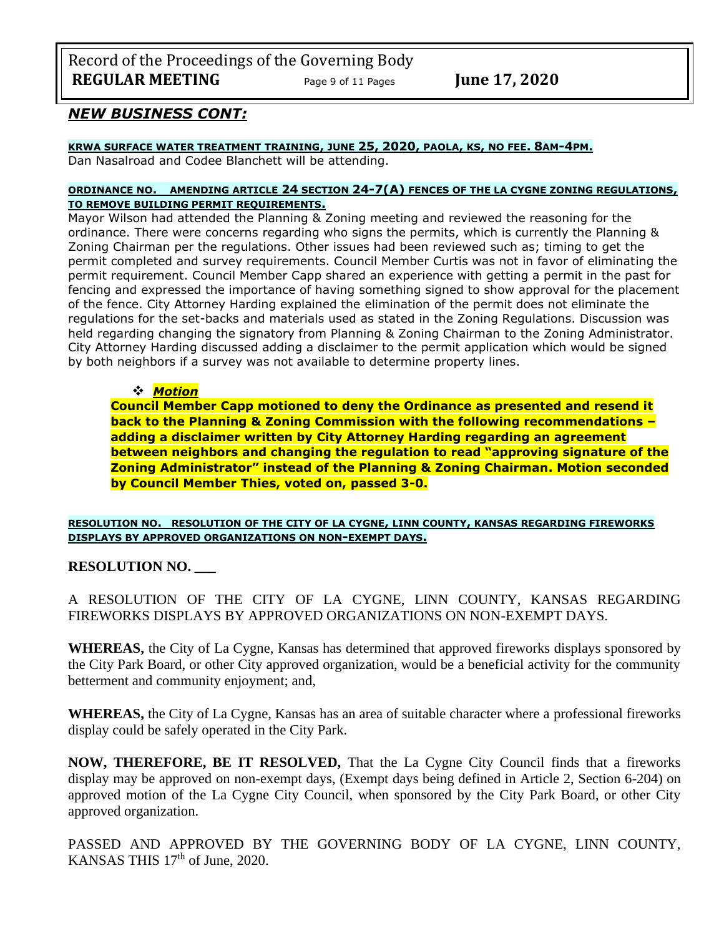Record of the Proceedings of the Governing Body **REGULAR MEETING** Page 9 of 11 Pages **June 17, 2020** 

# *NEW BUSINESS CONT:*

## **KRWA SURFACE WATER TREATMENT TRAINING, JUNE 25, 2020, PAOLA, KS, NO FEE. 8AM-4PM.**

Dan Nasalroad and Codee Blanchett will be attending.

## **ORDINANCE NO. AMENDING ARTICLE 24 SECTION 24-7(A) FENCES OF THE LA CYGNE ZONING REGULATIONS, TO REMOVE BUILDING PERMIT REQUIREMENTS.**

Mayor Wilson had attended the Planning & Zoning meeting and reviewed the reasoning for the ordinance. There were concerns regarding who signs the permits, which is currently the Planning & Zoning Chairman per the regulations. Other issues had been reviewed such as; timing to get the permit completed and survey requirements. Council Member Curtis was not in favor of eliminating the permit requirement. Council Member Capp shared an experience with getting a permit in the past for fencing and expressed the importance of having something signed to show approval for the placement of the fence. City Attorney Harding explained the elimination of the permit does not eliminate the regulations for the set-backs and materials used as stated in the Zoning Regulations. Discussion was held regarding changing the signatory from Planning & Zoning Chairman to the Zoning Administrator. City Attorney Harding discussed adding a disclaimer to the permit application which would be signed by both neighbors if a survey was not available to determine property lines.

## ❖ *Motion*

**Council Member Capp motioned to deny the Ordinance as presented and resend it back to the Planning & Zoning Commission with the following recommendations – adding a disclaimer written by City Attorney Harding regarding an agreement between neighbors and changing the regulation to read "approving signature of the Zoning Administrator" instead of the Planning & Zoning Chairman. Motion seconded by Council Member Thies, voted on, passed 3-0.**

**RESOLUTION NO. RESOLUTION OF THE CITY OF LA CYGNE, LINN COUNTY, KANSAS REGARDING FIREWORKS DISPLAYS BY APPROVED ORGANIZATIONS ON NON-EXEMPT DAYS.**

**RESOLUTION NO. \_\_\_**

A RESOLUTION OF THE CITY OF LA CYGNE, LINN COUNTY, KANSAS REGARDING FIREWORKS DISPLAYS BY APPROVED ORGANIZATIONS ON NON-EXEMPT DAYS.

**WHEREAS,** the City of La Cygne, Kansas has determined that approved fireworks displays sponsored by the City Park Board, or other City approved organization, would be a beneficial activity for the community betterment and community enjoyment; and,

**WHEREAS,** the City of La Cygne, Kansas has an area of suitable character where a professional fireworks display could be safely operated in the City Park.

**NOW, THEREFORE, BE IT RESOLVED,** That the La Cygne City Council finds that a fireworks display may be approved on non-exempt days, (Exempt days being defined in Article 2, Section 6-204) on approved motion of the La Cygne City Council, when sponsored by the City Park Board, or other City approved organization.

PASSED AND APPROVED BY THE GOVERNING BODY OF LA CYGNE, LINN COUNTY, KANSAS THIS  $17<sup>th</sup>$  of June, 2020.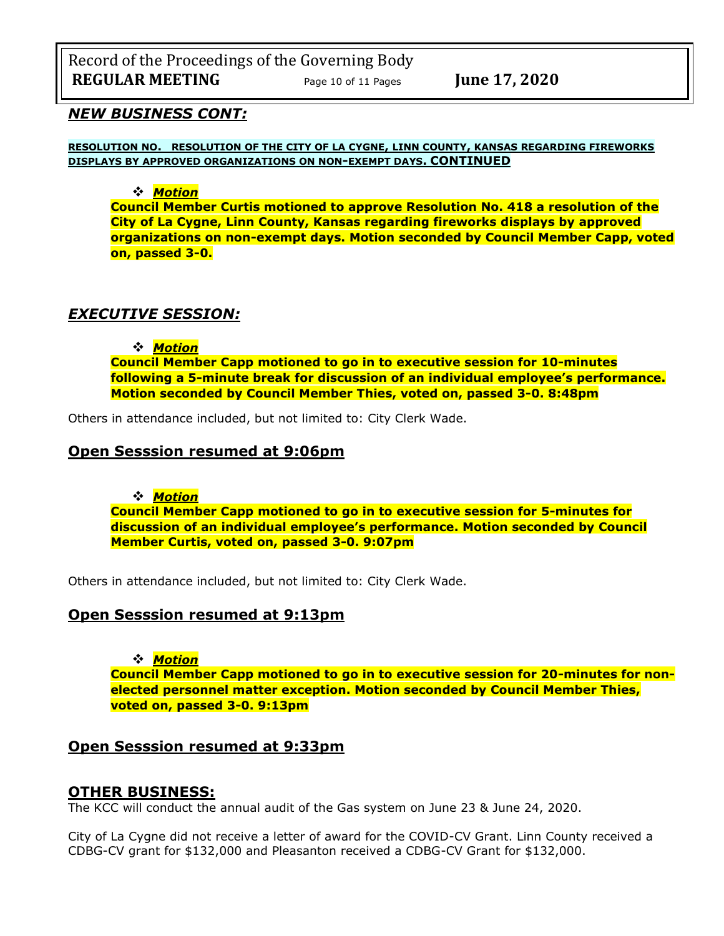Record of the Proceedings of the Governing Body **REGULAR MEETING** Page 10 of 11 Pages **June 17, 2020** 

## *NEW BUSINESS CONT:*

**RESOLUTION NO. RESOLUTION OF THE CITY OF LA CYGNE, LINN COUNTY, KANSAS REGARDING FIREWORKS DISPLAYS BY APPROVED ORGANIZATIONS ON NON-EXEMPT DAYS. CONTINUED**

## ❖ *Motion*

**Council Member Curtis motioned to approve Resolution No. 418 a resolution of the City of La Cygne, Linn County, Kansas regarding fireworks displays by approved organizations on non-exempt days. Motion seconded by Council Member Capp, voted on, passed 3-0.**

# *EXECUTIVE SESSION:*

❖ *Motion* 

**Council Member Capp motioned to go in to executive session for 10-minutes following a 5-minute break for discussion of an individual employee's performance. Motion seconded by Council Member Thies, voted on, passed 3-0. 8:48pm** 

Others in attendance included, but not limited to: City Clerk Wade.

## **Open Sesssion resumed at 9:06pm**

❖ *Motion* 

**Council Member Capp motioned to go in to executive session for 5-minutes for discussion of an individual employee's performance. Motion seconded by Council Member Curtis, voted on, passed 3-0. 9:07pm** 

Others in attendance included, but not limited to: City Clerk Wade.

## **Open Sesssion resumed at 9:13pm**

❖ *Motion* 

**Council Member Capp motioned to go in to executive session for 20-minutes for nonelected personnel matter exception. Motion seconded by Council Member Thies, voted on, passed 3-0. 9:13pm** 

# **Open Sesssion resumed at 9:33pm**

# **OTHER BUSINESS:**

The KCC will conduct the annual audit of the Gas system on June 23 & June 24, 2020.

City of La Cygne did not receive a letter of award for the COVID-CV Grant. Linn County received a CDBG-CV grant for \$132,000 and Pleasanton received a CDBG-CV Grant for \$132,000.